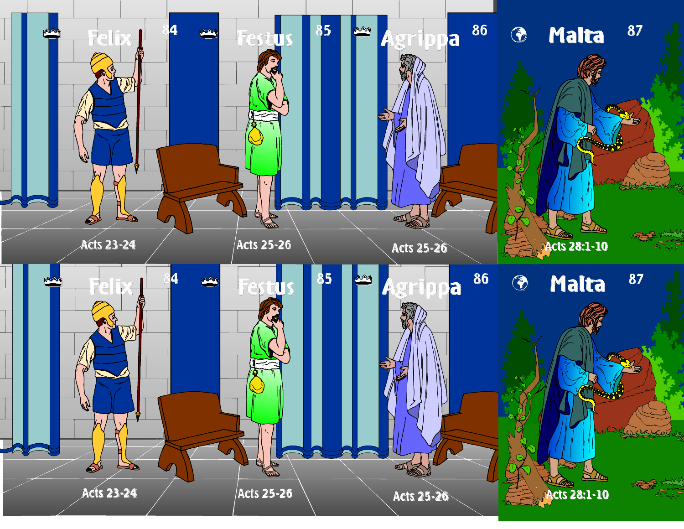